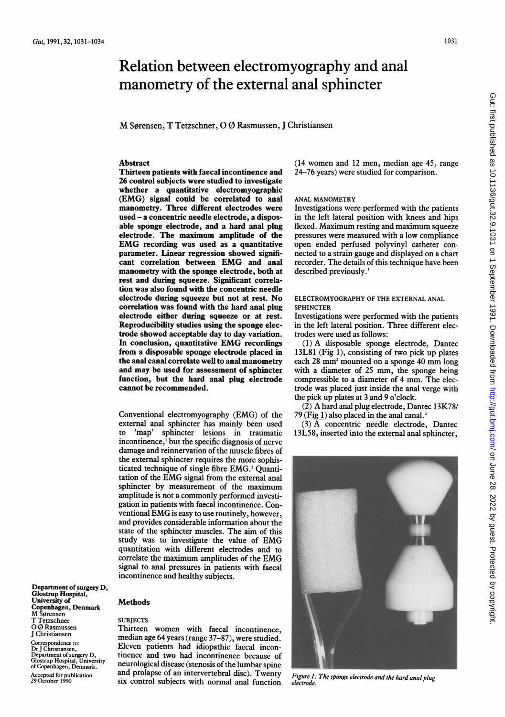# Relation between electromyography and anal manometry of the external anal sphincter

M Sørensen, T Tetzschner, O Ø Rasmussen, J Christiansen

# Abstract

Thirteen patients with faecal incontinence and 26 control subjects were studied to investigate whether a quantitative electromyographic (EMG) signal could be correlated to anal manometry. Three different electrodes were used - a concentric needle electrode, a disposable sponge electrode, and a hard anal plug electrode. The maximum amplitude of the EMG recording was used as a quantitative parameter. Linear regression showed significant correlation between EMG and anal manometry with the sponge electrode, both at rest and during squeeze. Significant correlation was also found with the concentric needle electrode during squeeze but not at rest. No correlation was found with the hard anal plug electrode either during squeeze or at rest. Reproducibility studies using the sponge electrode showed acceptable day to day variation. In conclusion, quantitative EMG recordings from a disposable sponge electrode placed in the anal canal correlate well to anal manometry and may be used for assessment of sphincter function, but the hard anal plug electrode cannot be recommended.

Conventional electromyography (EMG) of the external anal sphincter has mainly been used to 'map' sphincter lesions in traumatic incontinence,' but the specific diagnosis of nerve damage and reinnervation of the muscle fibres of the external sphincter requires the more sophisticated technique of single fibre EMG.<sup>2</sup> Quantitation of the EMG signal from the external anal sphincter by measurement of the maximum amplitude is not a commonly performed investigation in patients with faecal incontinence. Conventional EMG is easy to use routinely, however, and provides considerable information about the state of the sphincter muscles. The aim of this study was to investigate the value of EMG quantitation with different electrodes and to correlate the maximum amplitudes of the EMG signal to anal pressures in patients with faecal incontinence and healthy subjects.

Department of surgery D, Glostrup Hospital, University of Copenhagen, Denmark M Sørensen T Tetzschner 0 0 Rasmussen J Christiansen

Correspondence to: Dr <sup>J</sup> Christiansen, Department of surgery D, Glostrup Hospital, University of Copenhagen, Denmark. Accepted for publication 29 October 1990

# Methods

#### **SUBJECTS**

Thirteen women with faecal incontinence, median age 64 years (range 37-87), were studied. Eleven patients had idiopathic faecal incontinence and two had incontinence because of neurological disease (stenosis of the lumbar spine and prolapse of an intervertebral disc). Twenty and prolapse of an intervertebral disc). I wenty  $F_{\text{figure 1: The sponge electrode and the hard anal plug}$ <br>six control subjects with normal anal function electrode.

(14 women and <sup>12</sup> men, median age 45, range 24-76 years) were studied for comparison.

# ANAL MANOMETRY

Investigations were performed with the patients in the left lateral position with knees and hips flexed. Maximum resting and maximum squeeze pressures were measured with a low compliance open ended perfused polyvinyl catheter connected to a strain gauge and displayed on a chart recorder. The details of this technique have been described previously.<sup>3</sup>

# ELECTROMYOGRAPHY OF THE EXTERNAL ANAL SPHINCTER

Investigations were performed with the patients in the left lateral position. Three different electrodes were used as follows:

(1) A disposable sponge electrode, Dantec 13L81 (Fig 1), consisting of two pick up plates each <sup>28</sup> mm2 mounted on <sup>a</sup> sponge <sup>40</sup> mm long with <sup>a</sup> diameter of 25 mm, the sponge being compressible to <sup>a</sup> diameter of 4 mm. The electrode was placed just inside the anal verge with the pick up plates at 3 and 9 o'clock.

(2) A hard anal plug electrode, Dantec 13K78/ 79 (Fig 1) also placed in the anal canal.<sup>4</sup>

(3) A concentric needle electrode, Dantec 13L58, inserted into the external anal sphincter,



electrode.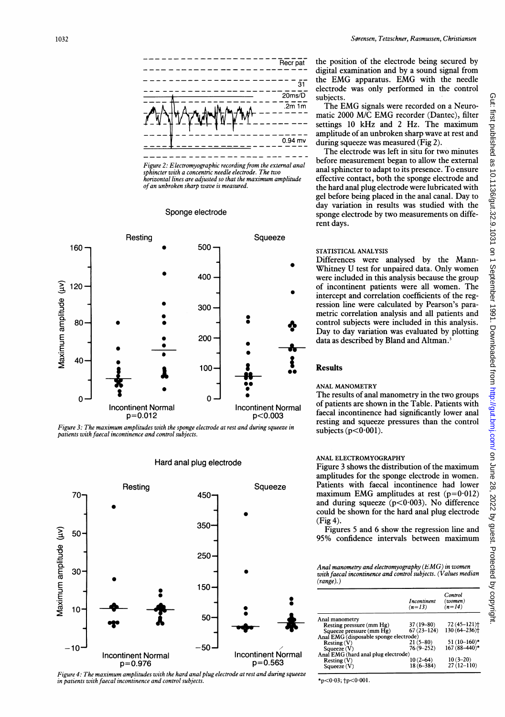

Figure 2: Electromyographic recording from the external anal sphincter with a concentric needle electrode. The two horizontal lines are adjusted so that the maximum amplitude ofan unbroken sharp wave is measured.

# Sponge electrode



Figure 3: The maximum amplitudes with the sponge electrode at rest and during squeeze in patients with faecal incontinence and control subjects.

Hard anal plug electrode



Figure 4: The maximum amplitudes with the hard anal plug electrode at rest and during squeeze in patients with faecal incontinence and control subjects.

the position of the electrode being secured by digital examination and by a sound signal from the EMG apparatus. EMG with the needle electrode was only performed in the control subjects.

The EMG signals were recorded on <sup>a</sup> Neuromatic <sup>2000</sup> M/C EMG recorder (Dantec), filter settings 10 kHz and <sup>2</sup> Hz. The maximum amplitude of an unbroken sharp wave at rest and during squeeze was measured (Fig 2).

The electrode was left in situ for two minutes before measurement began to allow the external anal sphincter to adapt to its presence. To ensure effective contact, both the sponge electrode and the hard anal plug electrode were lubricated with gel before being placed in the anal canal. Day to day variation in results was studied with the sponge electrode by two measurements on different days.

# STATISTICAL ANALYSIS

Differences were analysed by the Mann-Whitney U test for unpaired data. Only women were included in this analysis because the group of incontinent patients were all women. The intercept and correlation coefficients of the regression line were calculated by Pearson's parametric correlation analysis and all patients and control subjects were included in this analysis. Day to day variation was evaluated by plotting data as described by Bland and Altman.<sup>5</sup>

# **Results**

# ANAL MANOMETRY

The results of anal manometry in the two groups of patients are shown in the Table. Patients with faecal incontinence had significantly lower anal resting and squeeze pressures than the control subjects ( $p < 0.001$ ).

# ANAL ELECTROMYOGRAPHY

Figure <sup>3</sup> shows the distribution of the maximum amplitudes for the sponge electrode in women. Patients with faecal incontinence had lower maximum EMG amplitudes at rest  $(p=0.012)$ and during squeeze  $(p<0.003)$ . No difference could be shown for the hard anal plug electrode (Fig 4).

Figures <sup>5</sup> and 6 show the regression line and 95% confidence intervals between maximum

Anal manometry and electromyography (EMG) in women with faecal incontinence and control subjects. (Values median (range).)

|                                        | Incontinent<br>$(n=13)$ | Control<br>(women)<br>$(n=14)$ |
|----------------------------------------|-------------------------|--------------------------------|
| Anal manometry                         |                         |                                |
| Resting pressure (mm Hg)               | $37(19-80)$             | $72(45 - 121)$                 |
| Squeeze pressure (mm Hg)               | $67(23 - 124)$          | 130 (64-236) <sup>+</sup>      |
| Anal EMG (disposable sponge electrode) |                         |                                |
| Resting(V)                             | $21(5-80)$              | $51(10-160)$ *                 |
| Squeeze $(V)$                          | 76 (9–252)              | $167(88 - 440)$ *              |
| Anal EMG (hard anal plug electrode)    |                         |                                |
| Resting(V)                             | $10(2-64)$              | $10(3-20)$                     |
| Squeeze $(V)$                          | $18(6 - 384)$           | $27(12 - 110)$                 |
|                                        |                         |                                |

 $*_{p<0.03; \, \text{tp}<0.001.}$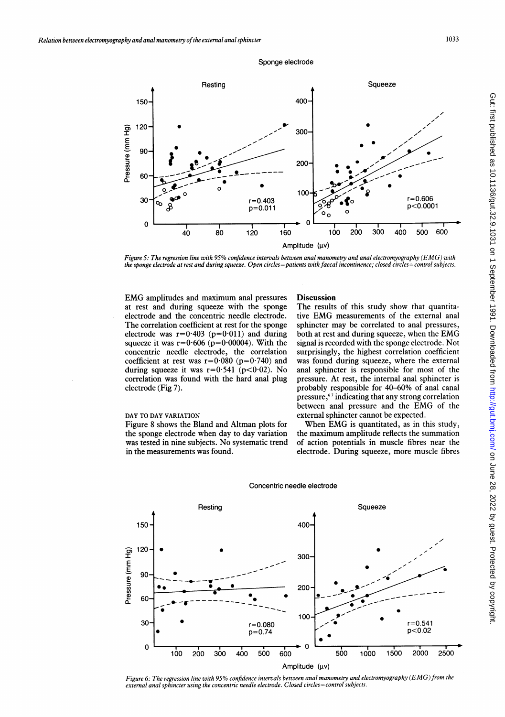cm I E E a)  $150$ 

120

90

60

30

 $\mathbf 0$ 

 $40$ 

 $\dot{80}$ 

ے



Sponge electrode

Figure 5: The regression line with 95% confidence intervals between anal manometry and anal electromyography (EMG) with the sponge electrode at rest and during squeeze. Open circles=patients with faecal incontinence; closed circles=control subjects.

160

 $r = 0.403$ 

 $p = 0.011$ 

 $120$ 

Amplitude  $(\mu \nu)$ 

100

EMG amplitudes and maximum anal pressures at rest and during squeeze with the sponge electrode and the concentric needle electrode. The correlation coefficient at rest for the sponge electrode was  $r=0.403$  ( $p=0.011$ ) and during squeeze it was  $r=0.606$  ( $p=0.00004$ ). With the concentric needle electrode, the correlation coefficient at rest was  $r=0.080$  ( $p=0.740$ ) and during squeeze it was  $r=0.541$  ( $p<0.02$ ). No correlation was found with the hard anal plug electrode (Fig 7).

# DAY TO DAY VARIATION

Figure 8 shows the Bland and Altman plots for the sponge electrode when day to day variation was tested in nine subjects. No systematic trend in the measurements was found.

### **Discussion**

The results of this study show that quantitative EMG measurements of the external anal sphincter may be correlated to anal pressures, both at rest and during squeeze, when the EMG signal is recorded with the sponge electrode. Not surprisingly, the highest correlation coefficient was found during squeeze, where the external anal sphincter is responsible for most of the pressure. At rest, the internal anal sphincter is probably responsible for 40-60% of anal canal pressure,<sup>67</sup> indicating that any strong correlation between anal pressure and the EMG of the external sphincter cannot be expected.

200 300 400 500 600

 $p < 0.0001$ 

When EMG is quantitated, as in this study, the maximum amplitude reflects the summation of action potentials in muscle fibres near the electrode. During squeeze, more muscle fibres



Concentric needle electrode